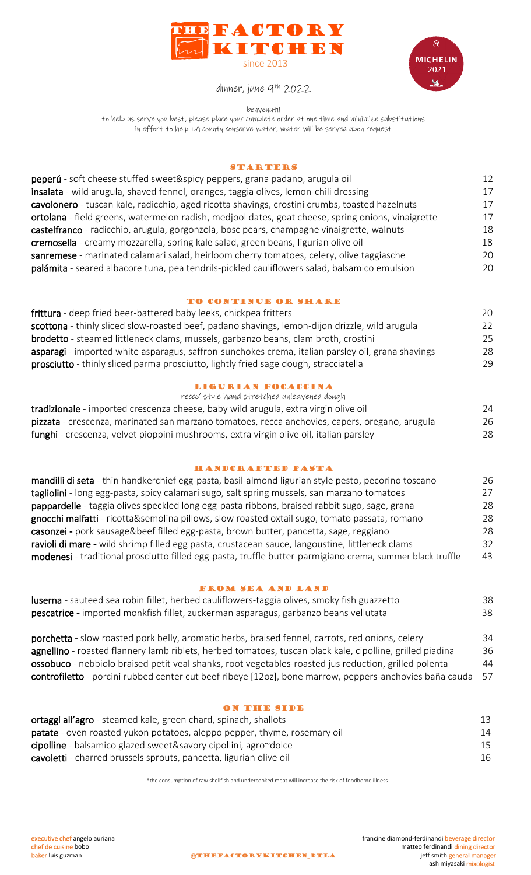



dinner, june 9 th 2022

benvenuti!

to help us serve you best, please place your complete order at one time and minimize substitutions in effort to help LA county conserve water, water will be served upon request

## **STARTERS**

| peperú - soft cheese stuffed sweet&spicy peppers, grana padano, arugula oil                        |    |
|----------------------------------------------------------------------------------------------------|----|
| insalata - wild arugula, shaved fennel, oranges, taggia olives, lemon-chili dressing               | 17 |
| cavolonero - tuscan kale, radicchio, aged ricotta shavings, crostini crumbs, toasted hazelnuts     | 17 |
| ortolana - field greens, watermelon radish, medjool dates, goat cheese, spring onions, vinaigrette | 17 |
| castelfranco - radicchio, arugula, gorgonzola, bosc pears, champagne vinaigrette, walnuts          | 18 |
| cremosella - creamy mozzarella, spring kale salad, green beans, ligurian olive oil                 | 18 |
| sanremese - marinated calamari salad, heirloom cherry tomatoes, celery, olive taggiasche           | 20 |
| palámita - seared albacore tuna, pea tendrils-pickled cauliflowers salad, balsamico emulsion       | 20 |

# TO CONTINUE OR SHARE

| frittura - deep fried beer-battered baby leeks, chickpea fritters                                 | 20 |
|---------------------------------------------------------------------------------------------------|----|
| scottona - thinly sliced slow-roasted beef, padano shavings, lemon-dijon drizzle, wild arugula    | 22 |
| <b>brodetto</b> - steamed littleneck clams, mussels, garbanzo beans, clam broth, crostini         | 25 |
| asparagi - imported white asparagus, saffron-sunchokes crema, italian parsley oil, grana shavings | 28 |
| prosciutto - thinly sliced parma prosciutto, lightly fried sage dough, stracciatella              | 29 |

## ligurian focaccina

| recco' style hand stretched unleavened dough                                                   |    |
|------------------------------------------------------------------------------------------------|----|
| tradizionale - imported crescenza cheese, baby wild arugula, extra virgin olive oil            | 24 |
| pizzata - crescenza, marinated san marzano tomatoes, recca anchovies, capers, oregano, arugula | 26 |
| funghi - crescenza, velvet pioppini mushrooms, extra virgin olive oil, italian parsley         | 28 |

## handcrafted pasta

| mandilli di seta - thin handkerchief egg-pasta, basil-almond ligurian style pesto, pecorino toscano       | 26 |
|-----------------------------------------------------------------------------------------------------------|----|
| tagliolini - long egg-pasta, spicy calamari sugo, salt spring mussels, san marzano tomatoes               | 27 |
| pappardelle - taggia olives speckled long egg-pasta ribbons, braised rabbit sugo, sage, grana             | 28 |
| gnocchi malfatti - ricotta&semolina pillows, slow roasted oxtail sugo, tomato passata, romano             | 28 |
| casonzei - pork sausage&beef filled egg-pasta, brown butter, pancetta, sage, reggiano                     | 28 |
| ravioli di mare - wild shrimp filled egg pasta, crustacean sauce, langoustine, littleneck clams           | 32 |
| modenesi - traditional prosciutto filled egg-pasta, truffle butter-parmigiano crema, summer black truffle | 43 |

## from sea and land

| luserna - sauteed sea robin fillet, herbed cauliflowers-taggia olives, smoky fish guazzetto | 38 |
|---------------------------------------------------------------------------------------------|----|
| pescatrice - imported monkfish fillet, zuckerman asparagus, garbanzo beans vellutata        | 38 |

porchetta - slow roasted pork belly, aromatic herbs, braised fennel, carrots, red onions, celery 34 agnellino - roasted flannery lamb riblets, herbed tomatoes, tuscan black kale, cipolline, grilled piadina 36 ossobuco - nebbiolo braised petit veal shanks, root vegetables-roasted jus reduction, grilled polenta 44 controfiletto - porcini rubbed center cut beef ribeye [12oz], bone marrow, peppers-anchovies baña cauda 57

### on the side

| ortaggi all'agro - steamed kale, green chard, spinach, shallots          | 13 |
|--------------------------------------------------------------------------|----|
| patate - oven roasted yukon potatoes, aleppo pepper, thyme, rosemary oil | 14 |
| cipolline - balsamico glazed sweet&savory cipollini, agro~dolce          | 15 |
| cavoletti - charred brussels sprouts, pancetta, ligurian olive oil       | 16 |

\*the consumption of raw shellfish and undercooked meat will increase the risk of foodborne illness

executive chef angelo auriana executive chef angelo auriana executive chef angelo auriana executive chef angelo<br>
chef de cuisine bobo executive bobo executive chef de cuisine bobo executive bobo executive ferdinandi dining chef de cuisine bobo **chef de cuisine bobo** matteo ferdinandi dining director<br> **charged contract of the contract of the contract of the contract of the contract of the contract of the contract of the contract of the cont** ash miyasaki mixologist